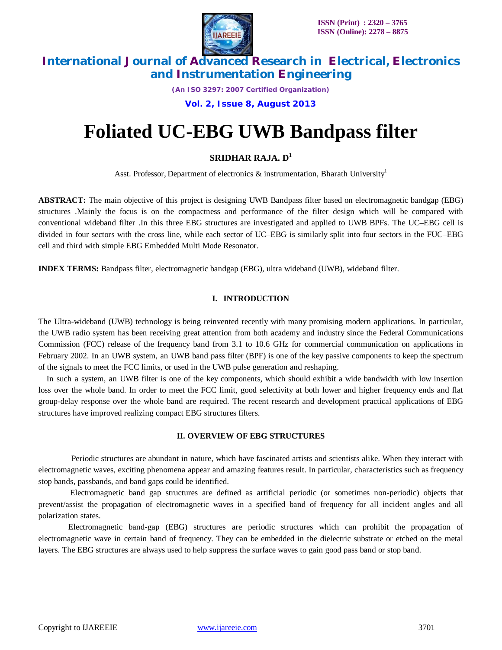

*(An ISO 3297: 2007 Certified Organization)*

**Vol. 2, Issue 8, August 2013**

# **Foliated UC-EBG UWB Bandpass filter**

### **SRIDHAR RAJA. D<sup>1</sup>**

Asst. Professor, Department of electronics  $\&$  instrumentation, Bharath University<sup>1</sup>

**ABSTRACT:** The main objective of this project is designing UWB Bandpass filter based on electromagnetic bandgap (EBG) structures .Mainly the focus is on the compactness and performance of the filter design which will be compared with conventional wideband filter .In this three EBG structures are investigated and applied to UWB BPFs. The UC–EBG cell is divided in four sectors with the cross line, while each sector of UC–EBG is similarly split into four sectors in the FUC–EBG cell and third with simple EBG Embedded Multi Mode Resonator.

**INDEX TERMS:** Bandpass filter, electromagnetic bandgap (EBG), ultra wideband (UWB), wideband filter.

### **I. INTRODUCTION**

The Ultra-wideband (UWB) technology is being reinvented recently with many promising modern applications. In particular, the UWB radio system has been receiving great attention from both academy and industry since the Federal Communications Commission (FCC) release of the frequency band from 3.1 to 10.6 GHz for commercial communication on applications in February 2002. In an UWB system, an UWB band pass filter (BPF) is one of the key passive components to keep the spectrum of the signals to meet the FCC limits, or used in the UWB pulse generation and reshaping.

In such a system, an UWB filter is one of the key components, which should exhibit a wide bandwidth with low insertion loss over the whole band. In order to meet the FCC limit, good selectivity at both lower and higher frequency ends and flat group-delay response over the whole band are required. The recent research and development practical applications of EBG structures have improved realizing compact EBG structures filters.

#### **II. OVERVIEW OF EBG STRUCTURES**

Periodic structures are abundant in nature, which have fascinated artists and scientists alike. When they interact with electromagnetic waves, exciting phenomena appear and amazing features result. In particular, characteristics such as frequency stop bands, passbands, and band gaps could be identified.

Electromagnetic band gap structures are defined as artificial periodic (or sometimes non-periodic) objects that prevent/assist the propagation of electromagnetic waves in a specified band of frequency for all incident angles and all polarization states.

 Electromagnetic band-gap (EBG) structures are periodic structures which can prohibit the propagation of electromagnetic wave in certain band of frequency. They can be embedded in the dielectric substrate or etched on the metal layers. The EBG structures are always used to help suppress the surface waves to gain good pass band or stop band.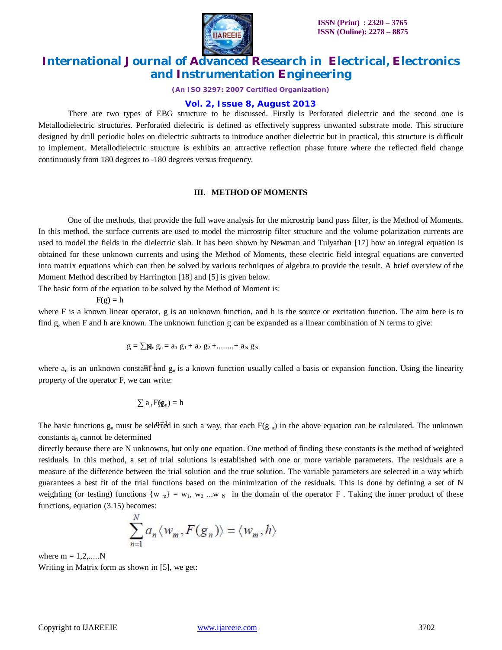

*(An ISO 3297: 2007 Certified Organization)*

#### **Vol. 2, Issue 8, August 2013**

There are two types of EBG structure to be discussed. Firstly is Perforated dielectric and the second one is Metallodielectric structures. Perforated dielectric is defined as effectively suppress unwanted substrate mode. This structure designed by drill periodic holes on dielectric subtracts to introduce another dielectric but in practical, this structure is difficult to implement. Metallodielectric structure is exhibits an attractive reflection phase future where the reflected field change continuously from 180 degrees to -180 degrees versus frequency.

#### **III. METHOD OF MOMENTS**

One of the methods, that provide the full wave analysis for the microstrip band pass filter, is the Method of Moments. In this method, the surface currents are used to model the microstrip filter structure and the volume polarization currents are used to model the fields in the dielectric slab. It has been shown by Newman and Tulyathan [17] how an integral equation is obtained for these unknown currents and using the Method of Moments, these electric field integral equations are converted into matrix equations which can then be solved by various techniques of algebra to provide the result. A brief overview of the Moment Method described by Harrington [18] and [5] is given below.

The basic form of the equation to be solved by the Method of Moment is:

 $F(g) = h$ 

where F is a known linear operator, g is an unknown function, and h is the source or excitation function. The aim here is to find g, when F and h are known. The unknown function g can be expanded as a linear combination of N terms to give:

$$
g=\textstyle\sum\!\mathbf{N\!}_n\,g_n=a_1\,\,g_1+a_2\,\,g_2+........+a_N\,\,g_N
$$

where  $a_n$  is an unknown consta $\theta \overline{\tau}$  and  $g_n$  is a known function usually called a basis or expansion function. Using the linearity property of the operator F, we can write:

$$
\textstyle\sum a_n\,F(g_n)=h
$$

The basic functions  $g_n$  must be selected in such a way, that each  $F(g_n)$  in the above equation can be calculated. The unknown constants  $a_n$  cannot be determined

directly because there are N unknowns, but only one equation. One method of finding these constants is the method of weighted residuals. In this method, a set of trial solutions is established with one or more variable parameters. The residuals are a measure of the difference between the trial solution and the true solution. The variable parameters are selected in a way which guarantees a best fit of the trial functions based on the minimization of the residuals. This is done by defining a set of N weighting (or testing) functions  $\{w_m\} = w_1, w_2, ..., w_N\}$  in the domain of the operator F. Taking the inner product of these functions, equation (3.15) becomes:

$$
\sum_{n=1}^{N} a_n \langle w_m, F(g_n) \rangle = \langle w_m, h \rangle
$$

where  $m = 1, 2, \dots N$ Writing in Matrix form as shown in [5], we get: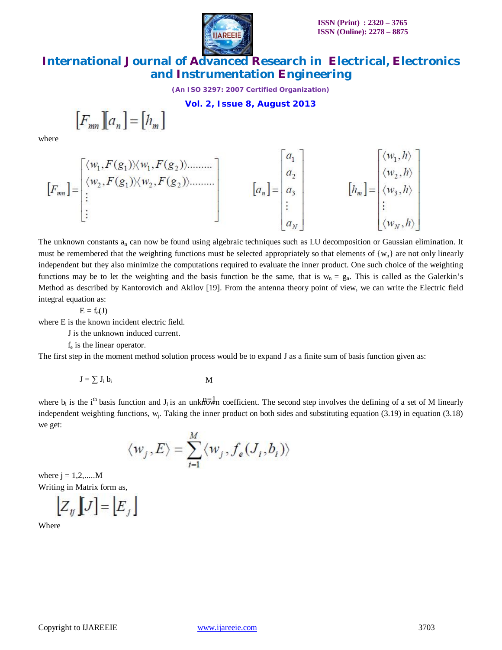

*(An ISO 3297: 2007 Certified Organization)*

**Vol. 2, Issue 8, August 2013**

$$
\left[F_{mn}\right]\left[a_n\right]=\left[h_m\right]
$$

where

$$
[F_{mn}] = \begin{bmatrix} \langle w_1, F(g_1) \rangle \langle w_1, F(g_2) \rangle \dots \dots \rangle \\ \langle w_2, F(g_1) \rangle \langle w_2, F(g_2) \rangle \dots \dots \rangle \\ \vdots \end{bmatrix} \qquad [a_n] = \begin{bmatrix} a_1 \\ a_2 \\ a_3 \\ \vdots \\ a_N \end{bmatrix} \qquad [h_m] = \begin{bmatrix} \langle w_1, h \rangle \\ \langle w_2, h \rangle \\ \vdots \\ \langle w_N, h \rangle \\ \vdots \\ \langle w_N, h \rangle \end{bmatrix}
$$

The unknown constants  $a_n$  can now be found using algebraic techniques such as LU decomposition or Gaussian elimination. It must be remembered that the weighting functions must be selected appropriately so that elements of  $\{w_n\}$  are not only linearly independent but they also minimize the computations required to evaluate the inner product. One such choice of the weighting functions may be to let the weighting and the basis function be the same, that is  $w_n = g_n$ . This is called as the Galerkin's Method as described by Kantorovich and Akilov [19]. From the antenna theory point of view, we can write the Electric field integral equation as:

$$
E=f_e(\boldsymbol{J})
$$

where E is the known incident electric field.

J is the unknown induced current.

fe is the linear operator.

The first step in the moment method solution process would be to expand J as a finite sum of basis function given as:

$$
J = \sum J_i b_i
$$

where  $b_i$  is the i<sup>th</sup> basis function and  $J_i$  is an unknown coefficient. The second step involves the defining of a set of M linearly independent weighting functions,  $w_j$ . Taking the inner product on both sides and substituting equation (3.19) in equation (3.18) we get:

$$
\langle w_j, E \rangle = \sum_{i=1}^{M} \langle w_j, f_e(J_i, b_i) \rangle
$$

where  $j = 1, 2, \dots$  M Writing in Matrix form as,

$$
\left[ Z_y \left[ J \right] = \left[ E_j \right] \right]
$$

Where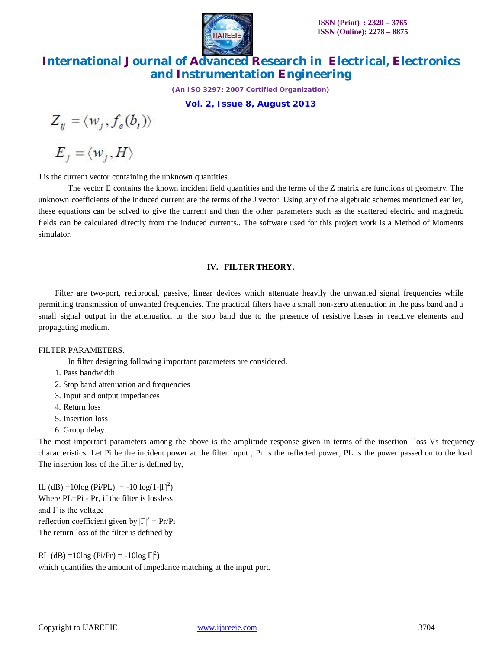

*(An ISO 3297: 2007 Certified Organization)*

**Vol. 2, Issue 8, August 2013**

 $Z_{ij} = \langle w_j, f_e(b_i) \rangle$ 

 $E_j = \langle w_j, H \rangle$ 

J is the current vector containing the unknown quantities.

The vector E contains the known incident field quantities and the terms of the Z matrix are functions of geometry. The unknown coefficients of the induced current are the terms of the J vector. Using any of the algebraic schemes mentioned earlier, these equations can be solved to give the current and then the other parameters such as the scattered electric and magnetic fields can be calculated directly from the induced currents.. The software used for this project work is a Method of Moments simulator.

#### **IV. FILTER THEORY.**

Filter are two-port, reciprocal, passive, linear devices which attenuate heavily the unwanted signal frequencies while permitting transmission of unwanted frequencies. The practical filters have a small non-zero attenuation in the pass band and a small signal output in the attenuation or the stop band due to the presence of resistive losses in reactive elements and propagating medium.

#### FILTER PARAMETERS.

In filter designing following important parameters are considered.

- 1. Pass bandwidth
- 2. Stop band attenuation and frequencies
- 3. Input and output impedances
- 4. Return loss
- 5. Insertion loss
- 6. Group delay.

The most important parameters among the above is the amplitude response given in terms of the insertion loss Vs frequency characteristics. Let Pi be the incident power at the filter input , Pr is the reflected power, PL is the power passed on to the load. The insertion loss of the filter is defined by,

IL (dB) =10log (Pi/PL) = -10 log(1- $|\Gamma|^2$ ) Where  $PL=Pi - Pr$ , if the filter is lossless and  $\Gamma$  is the voltage reflection coefficient given by  $|\Gamma|^2 = Pr/Pi$ The return loss of the filter is defined by

RL (dB) =10log (Pi/Pr) = -10log $|\Gamma|^2$ ) which quantifies the amount of impedance matching at the input port.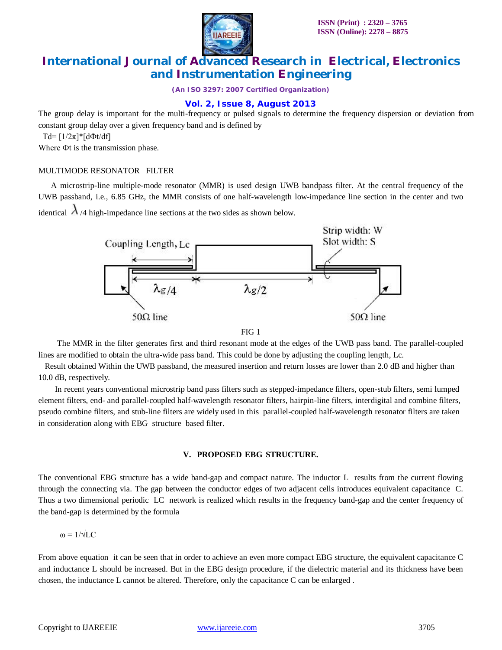

*(An ISO 3297: 2007 Certified Organization)*

### **Vol. 2, Issue 8, August 2013**

The group delay is important for the multi-frequency or pulsed signals to determine the frequency dispersion or deviation from constant group delay over a given frequency band and is defined by

Td= [1/2π]\*[dФt/df]

Where Фt is the transmission phase.

### MULTIMODE RESONATOR FILTER

 A microstrip-line multiple-mode resonator (MMR) is used design UWB bandpass filter. At the central frequency of the UWB passband, i.e., 6.85 GHz, the MMR consists of one half-wavelength low-impedance line section in the center and two

identical  $\lambda$  /4 high-impedance line sections at the two sides as shown below.



FIG 1

 The MMR in the filter generates first and third resonant mode at the edges of the UWB pass band. The parallel-coupled lines are modified to obtain the ultra-wide pass band. This could be done by adjusting the coupling length, Lc.

Result obtained Within the UWB passband, the measured insertion and return losses are lower than 2.0 dB and higher than 10.0 dB, respectively.

In recent years conventional microstrip band pass filters such as stepped-impedance filters, open-stub filters, semi lumped element filters, end- and parallel-coupled half-wavelength resonator filters, hairpin-line filters, interdigital and combine filters, pseudo combine filters, and stub-line filters are widely used in this parallel-coupled half-wavelength resonator filters are taken in consideration along with EBG structure based filter.

#### **V. PROPOSED EBG STRUCTURE.**

The conventional EBG structure has a wide band-gap and compact nature. The inductor L results from the current flowing through the connecting via. The gap between the conductor edges of two adjacent cells introduces equivalent capacitance C. Thus a two dimensional periodic LC network is realized which results in the frequency band-gap and the center frequency of the band-gap is determined by the formula

 $\omega = 1/\sqrt{LC}$ 

From above equation it can be seen that in order to achieve an even more compact EBG structure, the equivalent capacitance C and inductance L should be increased. But in the EBG design procedure, if the dielectric material and its thickness have been chosen, the inductance L cannot be altered. Therefore, only the capacitance C can be enlarged .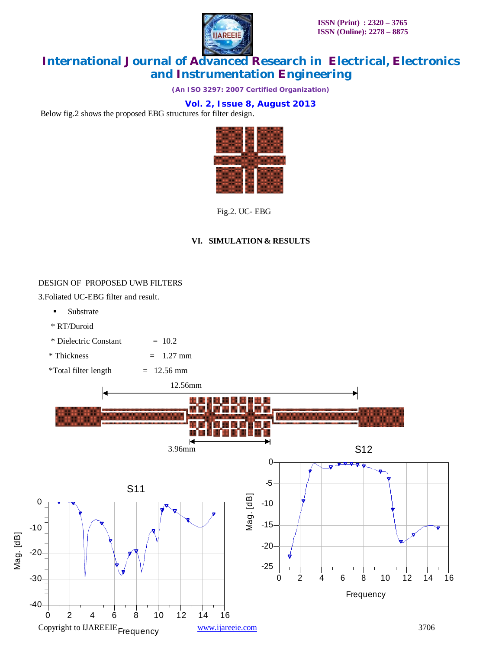

*(An ISO 3297: 2007 Certified Organization)*

**Vol. 2, Issue 8, August 2013**

Below fig.2 shows the proposed EBG structures for filter design.



Fig.2. UC- EBG

### **VI. SIMULATION & RESULTS**

#### DESIGN OF PROPOSED UWB FILTERS

3.Foliated UC-EBG filter and result.

- **Substrate**
- \* RT/Duroid
- $*$  Dielectric Constant  $= 10.2$
- $*$  Thickness  $= 1.27$  mm
- $*Total filter length$  = 12.56 mm

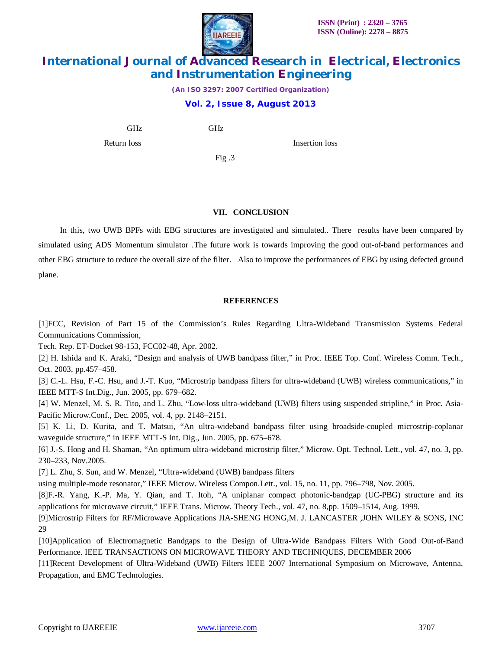

*(An ISO 3297: 2007 Certified Organization)*

### **Vol. 2, Issue 8, August 2013**

GHz GHz

Return loss Insertion loss

Fig .3

### **VII. CONCLUSION**

 In this, two UWB BPFs with EBG structures are investigated and simulated.. There results have been compared by simulated using ADS Momentum simulator .The future work is towards improving the good out-of-band performances and other EBG structure to reduce the overall size of the filter. Also to improve the performances of EBG by using defected ground plane.

### **REFERENCES**

[1]FCC, Revision of Part 15 of the Commission's Rules Regarding Ultra-Wideband Transmission Systems Federal Communications Commission,

Tech. Rep. ET-Docket 98-153, FCC02-48, Apr. 2002.

[2] H. Ishida and K. Araki, "Design and analysis of UWB bandpass filter," in Proc. IEEE Top. Conf. Wireless Comm. Tech., Oct. 2003, pp.457–458.

[3] C.-L. Hsu, F.-C. Hsu, and J.-T. Kuo, "Microstrip bandpass filters for ultra-wideband (UWB) wireless communications," in IEEE MTT-S Int.Dig., Jun. 2005, pp. 679–682.

[4] W. Menzel, M. S. R. Tito, and L. Zhu, "Low-loss ultra-wideband (UWB) filters using suspended stripline," in Proc. Asia-Pacific Microw.Conf., Dec. 2005, vol. 4, pp. 2148–2151.

[5] K. Li, D. Kurita, and T. Matsui, "An ultra-wideband bandpass filter using broadside-coupled microstrip-coplanar waveguide structure," in IEEE MTT-S Int. Dig., Jun. 2005, pp. 675–678.

[6] J.-S. Hong and H. Shaman, "An optimum ultra-wideband microstrip filter," Microw. Opt. Technol. Lett., vol. 47, no. 3, pp. 230–233, Nov.2005.

[7] L. Zhu, S. Sun, and W. Menzel, "Ultra-wideband (UWB) bandpass filters

using multiple-mode resonator," IEEE Microw. Wireless Compon.Lett., vol. 15, no. 11, pp. 796–798, Nov. 2005.

[8]F.-R. Yang, K.-P. Ma, Y. Qian, and T. Itoh, "A uniplanar compact photonic-bandgap (UC-PBG) structure and its applications for microwave circuit," IEEE Trans. Microw. Theory Tech., vol. 47, no. 8,pp. 1509–1514, Aug. 1999.

[9]Microstrip Filters for RF/Microwave Applications JIA-SHENG HONG,M. J. LANCASTER ,JOHN WILEY & SONS, INC 29

[10]Application of Electromagnetic Bandgaps to the Design of Ultra-Wide Bandpass Filters With Good Out-of-Band Performance. IEEE TRANSACTIONS ON MICROWAVE THEORY AND TECHNIQUES, DECEMBER 2006

[11]Recent Development of Ultra-Wideband (UWB) Filters IEEE 2007 International Symposium on Microwave, Antenna, Propagation, and EMC Technologies.